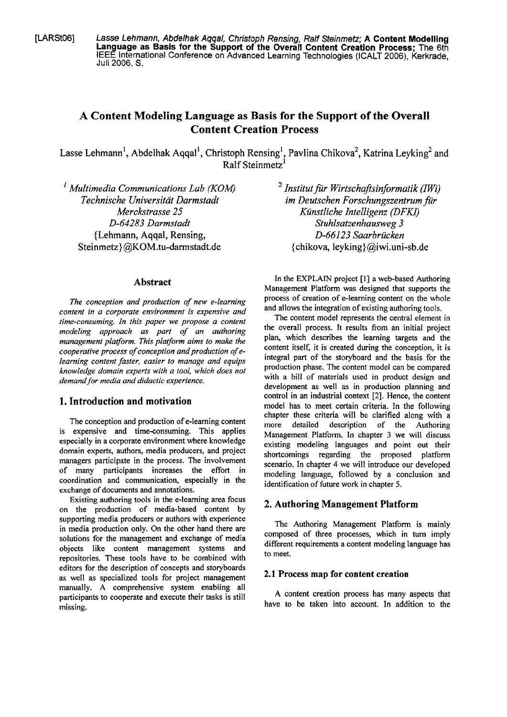**[LARStOG] Lasse Lehmann, Abdelhak Aqqal, Christoph Rensing, Ralf Steinmetz; A Content Modelling Language as Basis for the Support of the Overall Content Creation Process;** The 6th IEEE International Conference on Advanced Learning Technologies (ICALT 2006), Kerkrade, Juli 2006. S.

# **A Content Modeling Language as Basis for the Support of the Overall Content Creation Process**

Lasse Lehmann<sup>1</sup>, Abdelhak Aqqal<sup>1</sup>, Christoph Rensing<sup>1</sup>, Pavlina Chikova<sup>2</sup>, Katrina Leyking<sup>2</sup> and  $R$ alf Steinmetz<sup>1</sup>

*P Multimedia Communications Lab (KOM)* <sup>2</sup> *Institut für Wirtschaftsinformatik (IWi) Iechnische Universität Darmstadt im Deutschen Forschungszentrum für 0-64283 Darmstadt Stuhlsatzenhausweg 3*  (Lehmann, Aqqal, Rensing, *0-66123 Saarbrücken*  Steinmetz)@KOM.tu-darmstadt.de {chikova, leyking) @iwi.uni-sb.de

### **Abstract**

*The conception and production of new e-learning content in a corporate environment is expensive and time-consuming. In lhis paper we propose a content modeling approach* **as** *part of an authoring management platform. This platform aims to make the cooperative process of conception and production of elearning content faster, easier to manage and equips knowledge domain experts with a tool, which does not demand for media und didactic experience.* 

### **1. Introduction and motivation**

The conception and production of e-learning content is expensive and time-consuming. This applies especially in a corporate environment where knowledge domain experts, authors, media producers, and project managers participate in the process. The involvement of many participants increases the effort in coordination and communication, especially in the exchange of documents and annotations.

Existing authoring tools in the e-learning area focus on the production of media-based content by supporting media producers or authors with experience in media production only. On the other hand there are solutions for the management and exchange of media objects like content management Systems and repositories. These tools have to be combined with editors for the description of concepts and storyboards as weil as specialized tools for project management manually. A comprehensive System enabling all participants to cooperate and execute their tasks is still missing.

*Technische Universität Darmstadt im Deutschen Forschungszentrum für Merchtrasse* **25** *Künstliche Intelligenz (DFKI)* 

> In the EXPLAiN project **[l]** a web-based Authoring Management Platform was designed that Supports the process of creation of e-learning content on the whole and allows the integration of existing authoring tools.

> The content model represents the central element in the overall process. It results fiom an initial project plan, which describes the learning targets and the content itself, it is created during the conception, it is integral part of the storyboard and the basis for the production phase. The content model can be compared with a bill of materials used in product design and development as weil **as** in production planning and control in an industrial context [2]. Hence, the content model has to meet certain criteria. In the following chapter these criteria will be clarified along with a more detailed description of the Authoring Management Platform. In chapter **3** we will discuss existing modeling languages and point out their shortcomings regarding the proposed platform scenario. In chapter 4 we will introduce our developed modeling language, followed by a conclusion and identification of future work in chapter 5.

### **2. Authoring Management Platform**

The Authoring Management Platform is mainly composed of three processes, which in turn imply different requirements a content modeling language has to meet.

### **2.1 Process map for content creation**

**A** content creation process has many aspects that have to be taken into account. In addition to the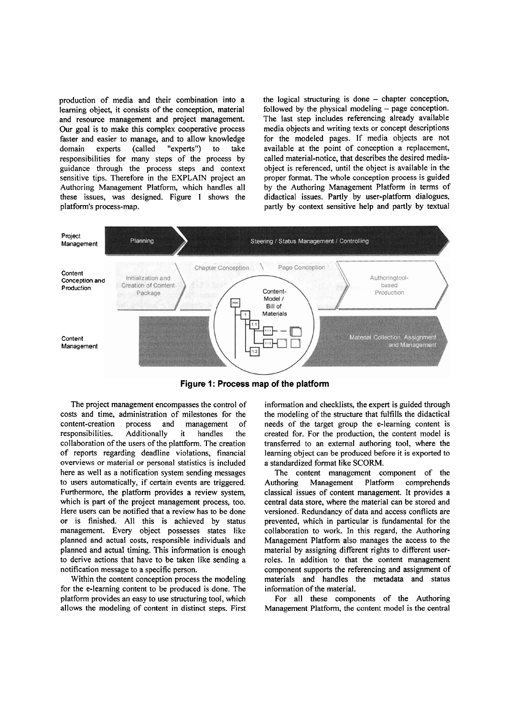production of media and their combination into a learning object, it consists of the conception, material and resource management and project management. **Our** goal is to make this complex cooperative process faster and easier to manage, and to allow knowledge domain experts (called "experts") to take responsibilities for many steps of the process by guidance through the process steps and context sensitive tips. Therefore in the EXPLAIN project an Authoring Management Platform, which handles all these issues, was designed. Figure 1 shows the platform's process-map.

the logical structuring is done - chapter conception, followed by the physical modeling  $-$  page conception. The last step includes referencing already available media objects and writing texts or concept descriptions for the modeled pages. If media objects are not available at the point of conception a replacement, called material-notice, that describes the desired mediaobject is referenced, until the object is available in the proper format. The whole conception process is guided by the Authoring Management Platform in terms of didactical issues. Partly by user-platform dialogues, partly by context sensitive help and partly by textual



**Figure 1: Process map of the platform** 

The project management encompasses the control of costs and time, administration of milestones for the content-creation process and management of content-creation process and management of<br>responsibilities. Additionally it handles the responsibilities. Additionally it handles the collaboration of the users of the plattform. The creation of reports regarding deadline violations, financial overviews or material or personal statistics is included here as well **as** a notification system sending messages to users automatically, if certain events are triggered. Furthermore, the platform provides a review system, which is part of the project management process, too. Here users can be notified that a review has to be done or is finished. All this is achieved by status management. Every object possesses states like planned and actual costs, responsible individuals and planned and actual timing. This information is enough to derive actions that have to be taken like sending a notification message to a specific person.

Within the content conception process the modeling for the e-leaming content to be produced is done. The platform provides an easy to use structuring tool, which allows the modeling of content in distinct steps. First information and checklists, the expert is guided through the modeling of the structure that fulfills the didactical needs of the target group the e-leaming content is created for. For the production, the content model is transferred to an extemal authoring tool, where the leaming object can be produced before it is exported to a standardized format like SCORM.

The content management component of the Authoring Management Platform comprehends classical issues of content management. It provides a central data Store, where the material can be stored and versioned. Redundancy of data and access conflicts are prevented, which in particular is fundamental for the collaboration to work. In this regard, the Authoring Management Platform also manages the access to the material by assigning different rights to different userroles. In addition to that the content management component supports the referencing and assignment of materials and handles the metadata and status information of the material.

For all these components of the Authoring Management Platform, the content model is the central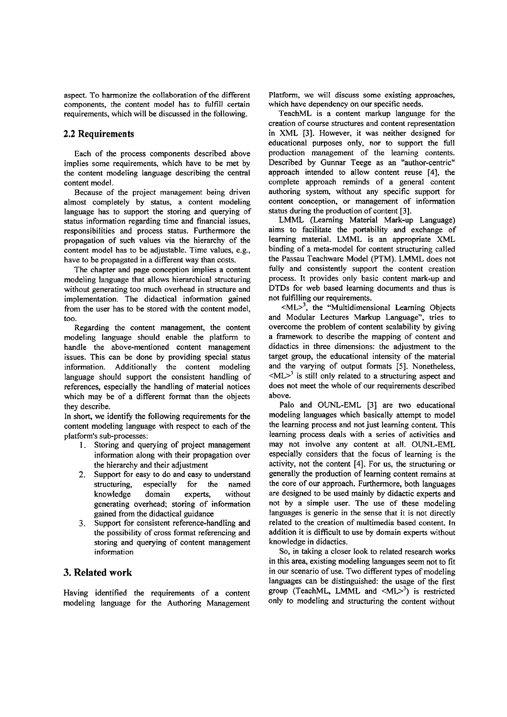aspect. To harmonize the collaboration of the different components, the content model has to fulfill certain requirements, which will be discussed in the following.

### **2.2 Requirements**

Each of the process components described above implies some requirements, which have to be met by the content modeling language describing the central content model.

Because of the project management being driven almost completely by status, a content modeling language has to support the storing and querying of status information regarding time and financial issues, responsibilities and process status. Furthermore the propagation of such values via the hierarchy of the content model has to be adjustable. Time values, e.g., have to be propagated in a different way than costs.

The chapter and page conception implies a content modeling language that allows hierarchical structuring without generating too much overhead in structure and implementation. The didactical information gained from the user has to be stored with the content model, too.

Regarding the content management, the content modeling language should enable the platform to handle the above-mentioned content management issues. This can be done by providing special status information. Additionally the content modeling language should support the consistent handling of references, especially the handling of material notices which may be of a different format than the objects they describe.

In short, we identify the following requirements for the content modeling language with respect to each of the platform's sub-processes:

- **1.** Storing and querying of project management information along with their propagation over the hierarchy and their adjustment
- *2.* Support for easy to do and easy to understand structuring, especially for the named knowledge domain experts, without generating overhead; storing of information gained fiom the didactical guidance
- **3.** Support for consistent reference-handling and the possibility of cross format referencing and storing and querying of content management information

### **3. Related work**

Having identified the requirements of a content modeling language for the Authoring Management

Platform, we will discuss some existing approaches, which have dependency on our specific needs.

TeachML is a content markup language for the creation of Course structures and content representation in XML **[3].** However, it was neither designed for educational purposes only, nor to support the full production management of the learning contents. Described by Gunnar Teege as an "author-centric" approach intended to allow content reuse **[4],** the complete approach reminds of a general content authoring System, without any specific support for content conception, or management of information status during the production of content **[3].** 

LMML (Learning Material Mark-up Language) aims to facilitate the portability and exchange of leaming material. LMML is an appropriate **XML**  binding of a meta-model for content structuring called the Passau Teachware Model (PTM). LMML does not fully and consistently support the content creation process. It provides only basic content mark-up and DTDs for web based learning documents and thus is not fulfilling our requirements.

 $\langle M L \rangle^3$ , the "Multidimensional Learning Objects and Modular Lectures Markup Language", tries to overcome the problem of content scalability by giving a framework to describe the mapping of content and didactics in three dimensions: the adjustment to the target group, the educational intensity of the material and the varying of output formats **[SI.** Nonetheless,  $|ML>3$  is still only related to a structuring aspect and does not meet the whole of our requirements described above.

Palo and OUNL-EML **[3]** are two educational modeling languages which basically attempt to model the learning process and not just learning content. This learning process deals with a series of activities and may not involve any content at all. OUNL-EML especially considers that the focus of leaming is the activity, not the content [4]. For us, the structuring or generally the production of learning content remains at the core of our approach. Furthermore, both languages are designed to be used mainly by didactic experts and not by a simple user. The use of these modeling languages is generic in the sense that it is not directly related to the creation of multimedia based content. In addition it is difficult to use by domain experts without knowledge in didactics.

So, in taking a closer look to related research works in this area, existing modeling languages seem not to fit in our scenario of use. Two different types of modeling languages can be distinguished: the usage of the first group (TeachML, LMML and  $\langle ML \rangle^3$ ) is restricted only to modeling and structuring the content without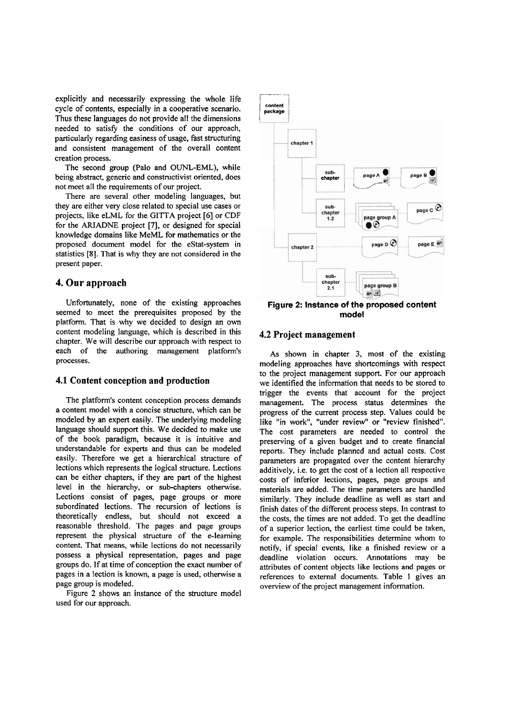explicitly and necessarily expressing the whole life cycle of contents, especially in a cooperative scenario. Thus these languages do not provide all the dimensions needed to satisfy the conditions of our approach, particularly regarding easiness of usage, fast structuring and consistent management of the overall content creation process.

The second group (Palo and OUNL-EML), while being abstract, generic and constructivist oriented, does not meet all the requirements of our project.

There are several other modeling languages, but they are either very close related to special use cases or projects, like eLML for the GITTA project *[6]* or CDF for the **ARIADNE** project **[7],** or designed for special knowledge domains like MeML for mathematics or the proposed document model for the estat-system in statistics [8]. That is why they are not considered in the present paper.

### **4. Our approach**

Unfortunately, none of the existing approaches seemed to meet the prerequisites proposed by the platform. That is why we decided to design an own content modeling language, which is described in this chapter. We will describe our approach with respect to each of the authoring management platform's processes.

#### **4.1 Content conception and production**

The platform's content conception process demands a content model with a concise structure, which can be modeled by an expert easily. The underlying modeling language should support this. We decided to make use of the book paradigm, because it is intuitive and understandable for experts and thus can be modeled easily. Therefore we get a hierarchical structure of lections which represents the logical structure. Lections can be either chapters, if they are part of the highest level in the hierarchy, or sub-chapters otherwise. Lections consist of pages, page groups or more subordinated lections. The recursion of lections is theoretically endless, but should not exceed a reasonable threshold. The pages and page groups represent the physical structure of the e-learning content. That means, while lections do not necessarily possess a physical representation, pages and page groups do. If at time of conception the exact number of pages in a lection is known, a page is used, otherwise a page group is modeled.

Figure 2 shows an instance of the structure model used for our approach.



**Figure 2: Instance of the proposed content model** 

#### **4.2 Project management**

As shown in chapter **3,** most of the existing modeling approaches have shortcomings with respect to the project management support. For our approach we identified the information that needs to be stored to trigger the events that account for the project management. The process Status determines the progress of the current process step. Values could be like "in work", "under review" or "review finished". The cost parameters are needed to control the preserving of a given budget and to create financial reports. They include planned and actual costs. Cost parameters are propagated over the content hierarchy additively, i.e. to get the cost of a lection all respective costs of inferior lections, pages, page groups and materials are added. The time parameters are handled similarly. They include deadline as well as start and finish dates of the different process steps. In contrast to the costs, the times are not added. To get the deadline of a superior lection, the earliest time could be taken, for example. The responsibilities determine whom to notify, if special events, like a finished review or a deadline violation occurs. Annotations may be attributes of content objects like lections and pages or references to external documents. Table 1 gives an overview of the project management information.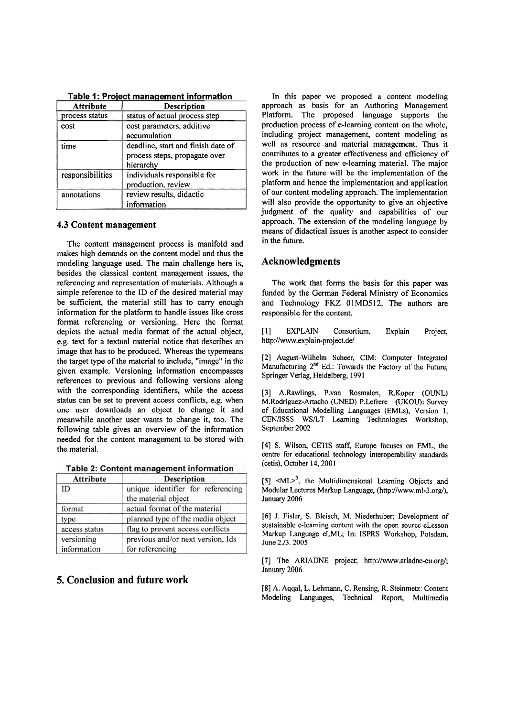| <b>Attribute</b> | Description                        |
|------------------|------------------------------------|
| process status   | status of actual process step      |
| cost             | cost parameters, additive          |
|                  | accumulation                       |
| time             | deadline, start and finish date of |
|                  | process steps, propagate over      |
|                  | hierarchy                          |
| responsibilities | individuals responsible for        |
|                  | production, review                 |
| annotations      | review results, didactic           |
|                  | information                        |

**Table 1** : **Project management information** 

#### **4.3 Content management**

The content management process is manifold and makes high demands on the content model and thus the modeling language used. The main challenge here is, besides the classical content management issues, the referencing and representation of materials. Although a simple reference to the ID of the desired material may be sufficient, the material still has to carry enough information for the platform to handle issues like cross format referencing or versioning. Here the format depicts the actual media format of the actual object, e.g. text for a textual material notice that describes an image that has to be produced. Whereas the typemeans the target type of the material to include, "image" in the given example. Versioning information encompasses references to previous and following versions along with the corresponding identifiers, while the access status can be set to prevent access conflicts, e.g. when one User downloads an object to change it and meanwhile another user wants to change it, too. The following table gives an overview of the information needed for the content management to be stored with the material.

Table 2: Content management information

| <b>Attribute</b> | <b>Description</b>                |
|------------------|-----------------------------------|
| ID               | unique identifier for referencing |
|                  | the material object               |
| format           | actual format of the material     |
| type             | planned type of the media object  |
| access status    | flag to prevent access conflicts  |
| versioning       | previous and/or next version, Ids |
| information      | for referencing                   |

# **5. Conclusion and future work**

In this paper we proposed a content modeling approach as basis for an Authoring Management Platform. The proposed language supports the production process of e-learning content on the whole, including project management, content modeling as well as resource and material management. Thus it contributes to a greater effectiveness and efficiency of the production of new e-learning material. The major work in the future will be the implementation of the platform and hence the implementation and application of our content modeling approach. The implementation will also provide the opportunity to give an objective judgment of the quality and capabilities of our approach. The extension of the modeling language by means of didactical issues is another aspect to consider in the future.

## **Acknowledgments**

The work that forms the basis for this paper was funded by the German Federal Ministry of Economics and Technology FKZ 01MD512. The authors are responsible for the content.

[I] EXPLATN Consortium, Explain Project, **http://www.explain-project.de/** 

[2] August-Wilhelm Scheer, CIM: Computer lntegrated Manufacturing 2<sup>nd</sup> Ed.: Towards the Factory of the Future, Springer Verlag, Heidelberg, 1991

[3] A.Rawlings, P.van Rosmalen, R.Koper (OUNL) M.Rodriguez-Artacho (UNED) P.Lefrere (üKOU): Suwey of Educational Modelling Languages (EMLs), Version 1, CEN/ISSS WS/LT Learning Technologies Workshop, September 2002

[4] S. Wilson, CETlS staff, Europe focuses on EML, **the**  centre for educational technology interoperability standards (cetis), October 14,200 1

 $[5]$  <ML $>3$ , the Multidimensional Learning Objects and Modular Lectures Markup Language, (http://www.ml-3.org/), January 2006

[6] J. Fisler, S. Bleisch, M. Niederhuber; Development of sustainable e-learning content with the Open source eLesson Markup Language eLML; In: ISPRS Workshop, Potsdam, June 2./3. 2005

[7] The **ARIADNE** project; http://www.ariadne-eu.org/; January 2006.

[8] A. Aqqal, L. Lehmann, C. Rensing, R. Steinmetz: Content Modeling Languages, Technicai Report, Multimedia